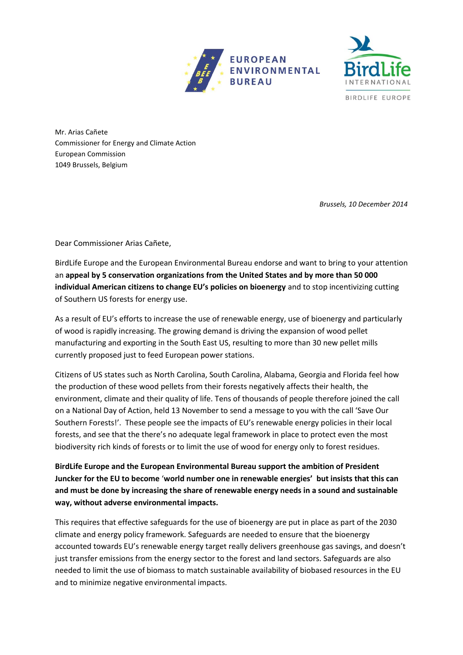



Mr. Arias Cañete Commissioner for Energy and Climate Action European Commission 1049 Brussels, Belgium

*Brussels, 10 December 2014*

Dear Commissioner Arias Cañete,

BirdLife Europe and the European Environmental Bureau endorse and want to bring to your attention an **appeal by 5 conservation organizations from the United States and by more than 50 000 individual American citizens to change EU's policies on bioenergy** and to stop incentivizing cutting of Southern US forests for energy use.

As a result of EU's efforts to increase the use of renewable energy, use of bioenergy and particularly of wood is rapidly increasing. The growing demand is driving the expansion of wood pellet manufacturing and exporting in the South East US, resulting to more than 30 new pellet mills currently proposed just to feed European power stations.

Citizens of US states such as North Carolina, South Carolina, Alabama, Georgia and Florida feel how the production of these wood pellets from their forests negatively affects their health, the environment, climate and their quality of life. Tens of thousands of people therefore joined the call on a National Day of Action, held 13 November to send a message to you with the call 'Save Our Southern Forests!'. These people see the impacts of EU's renewable energy policies in their local forests, and see that the there's no adequate legal framework in place to protect even the most biodiversity rich kinds of forests or to limit the use of wood for energy only to forest residues.

**BirdLife Europe and the European Environmental Bureau support the ambition of President Juncker for the EU to become** '**world number one in renewable energies' but insists that this can and must be done by increasing the share of renewable energy needs in a sound and sustainable way, without adverse environmental impacts.**

This requires that effective safeguards for the use of bioenergy are put in place as part of the 2030 climate and energy policy framework. Safeguards are needed to ensure that the bioenergy accounted towards EU's renewable energy target really delivers greenhouse gas savings, and doesn't just transfer emissions from the energy sector to the forest and land sectors. Safeguards are also needed to limit the use of biomass to match sustainable availability of biobased resources in the EU and to minimize negative environmental impacts.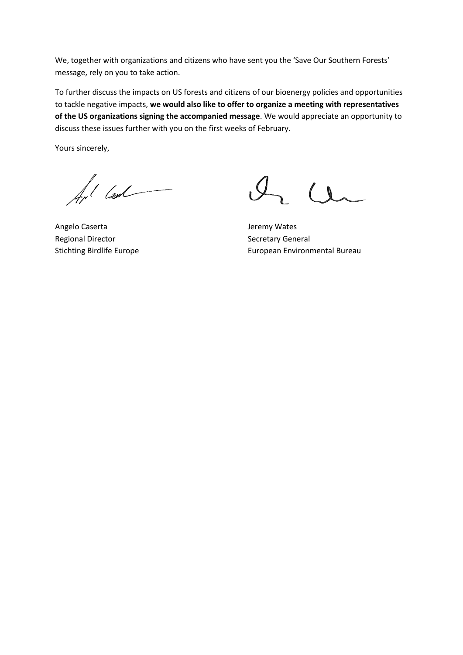We, together with organizations and citizens who have sent you the 'Save Our Southern Forests' message, rely on you to take action.

To further discuss the impacts on US forests and citizens of our bioenergy policies and opportunities to tackle negative impacts, **we would also like to offer to organize a meeting with representatives of the US organizations signing the accompanied message**. We would appreciate an opportunity to discuss these issues further with you on the first weeks of February.

Yours sincerely,

for lead

Angelo Caserta **Jeremy Wates** Regional Director **Secretary General** 

 $l_{1}$   $u_{2}$ 

Stichting Birdlife Europe **European Environmental Bureau**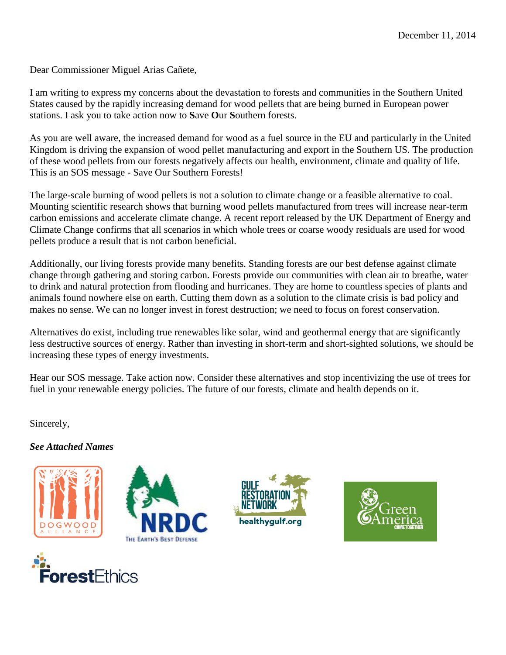Dear Commissioner Miguel Arias Cañete,

I am writing to express my concerns about the devastation to forests and communities in the Southern United States caused by the rapidly increasing demand for wood pellets that are being burned in European power stations. I ask you to take action now to **S**ave **O**ur **S**outhern forests.

As you are well aware, the increased demand for wood as a fuel source in the EU and particularly in the United Kingdom is driving the expansion of wood pellet manufacturing and export in the Southern US. The production of these wood pellets from our forests negatively affects our health, environment, climate and quality of life. This is an SOS message - Save Our Southern Forests!

The large-scale burning of wood pellets is not a solution to climate change or a feasible alternative to coal. Mounting scientific research shows that burning wood pellets manufactured from trees will increase near-term carbon emissions and accelerate climate change. A recent report released by the UK Department of Energy and Climate Change confirms that all scenarios in which whole trees or coarse woody residuals are used for wood pellets produce a result that is not carbon beneficial.

Additionally, our living forests provide many benefits. Standing forests are our best defense against climate change through gathering and storing carbon. Forests provide our communities with clean air to breathe, water to drink and natural protection from flooding and hurricanes. They are home to countless species of plants and animals found nowhere else on earth. Cutting them down as a solution to the climate crisis is bad policy and makes no sense. We can no longer invest in forest destruction; we need to focus on forest conservation.

Alternatives do exist, including true renewables like solar, wind and geothermal energy that are significantly less destructive sources of energy. Rather than investing in short-term and short-sighted solutions, we should be increasing these types of energy investments.

Hear our SOS message. Take action now. Consider these alternatives and stop incentivizing the use of trees for fuel in your renewable energy policies. The future of our forests, climate and health depends on it.

Sincerely,

## *See Attached Names*









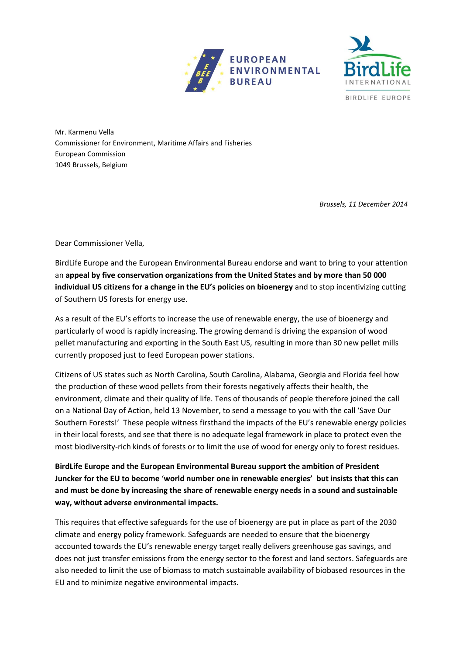



Mr. Karmenu Vella Commissioner for Environment, Maritime Affairs and Fisheries European Commission 1049 Brussels, Belgium

*Brussels, 11 December 2014*

Dear Commissioner Vella,

BirdLife Europe and the European Environmental Bureau endorse and want to bring to your attention an **appeal by five conservation organizations from the United States and by more than 50 000 individual US citizens for a change in the EU's policies on bioenergy** and to stop incentivizing cutting of Southern US forests for energy use.

As a result of the EU's efforts to increase the use of renewable energy, the use of bioenergy and particularly of wood is rapidly increasing. The growing demand is driving the expansion of wood pellet manufacturing and exporting in the South East US, resulting in more than 30 new pellet mills currently proposed just to feed European power stations.

Citizens of US states such as North Carolina, South Carolina, Alabama, Georgia and Florida feel how the production of these wood pellets from their forests negatively affects their health, the environment, climate and their quality of life. Tens of thousands of people therefore joined the call on a National Day of Action, held 13 November, to send a message to you with the call 'Save Our Southern Forests!' These people witness firsthand the impacts of the EU's renewable energy policies in their local forests, and see that there is no adequate legal framework in place to protect even the most biodiversity-rich kinds of forests or to limit the use of wood for energy only to forest residues.

**BirdLife Europe and the European Environmental Bureau support the ambition of President Juncker for the EU to become** '**world number one in renewable energies' but insists that this can and must be done by increasing the share of renewable energy needs in a sound and sustainable way, without adverse environmental impacts.**

This requires that effective safeguards for the use of bioenergy are put in place as part of the 2030 climate and energy policy framework. Safeguards are needed to ensure that the bioenergy accounted towards the EU's renewable energy target really delivers greenhouse gas savings, and does not just transfer emissions from the energy sector to the forest and land sectors. Safeguards are also needed to limit the use of biomass to match sustainable availability of biobased resources in the EU and to minimize negative environmental impacts.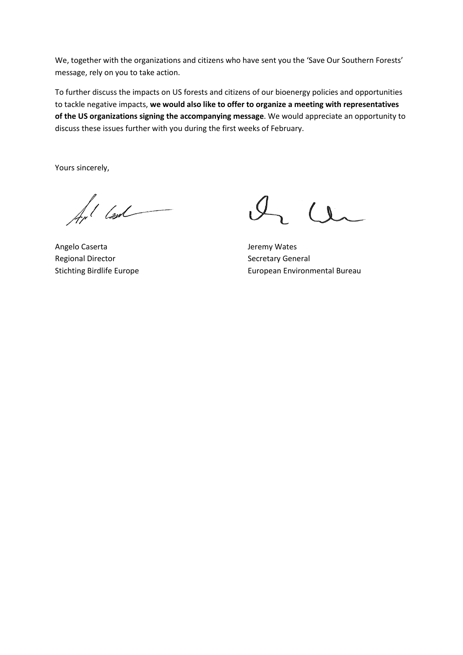We, together with the organizations and citizens who have sent you the 'Save Our Southern Forests' message, rely on you to take action.

To further discuss the impacts on US forests and citizens of our bioenergy policies and opportunities to tackle negative impacts, **we would also like to offer to organize a meeting with representatives of the US organizations signing the accompanying message**. We would appreciate an opportunity to discuss these issues further with you during the first weeks of February.

Yours sincerely,

for lead

Angelo Caserta and The Caser and The Caser and The Caser and The Jeremy Wates Regional Director **Secretary General** Secretary General

 $l_{1}$   $u_{2}$ 

Stichting Birdlife Europe **European Environmental Bureau**